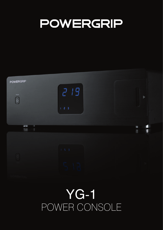## POWERGRIP

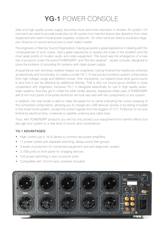## YG-1 POWER CONSOLE

Safe and high quality power supply becomes more and more important in modern AV system. On one hand we need to provide protection for AV system from harmful factors like distortion from other equipment with switch mode power supplies, noises etc. On other hand we need to avoid any negative influence on sound and picture or even make it better.

The engineers of Barnsly Sound Organization, having acquired a great experience in dealing with the consequences of such cases, had a great opportunity to assess the scale of the problem and the most weak points of modern audio and video equipment. The result was the emergence of a new line of products under the brand POWERGRIP, and "the first swallow" – power console, designed to solve the problem of providing AV-systems with clean power supply.

Acquaintance with domestic realities helped our engineers, having finished the traditional schemes as electrically and functionally, to create a model YG-1. A new product protects system components from high voltage, surge and different noises. And, importantly, our experts know what good sound is and how it can be affected by additional filtering. That is why our sound gurus worked in close cooperation with engineers, because YG-1 is designed specifically for use in high quality audiovideo systems. And they got it! Unlike the other similar devices, impressive metal case of POWERGRIP with 8 mm front panel of brushed aluminum will look very well with the components of any system.

In addition, the new model is able to make life easier for its owner indicating the correct phasing of the connected components, allowing you to charge two USB devices quickly or by being included in the smart home system, accept the control signals from the triggers of 12 V. Protection is not only limited by electrical lines, it extends to satellite, antenna and cable lines.

Thus, with POWERGRIP products you will not only protect your equipment from harmful effects but also get your system to a new level of sound and convenience!

## YG-1 ADVANTAGES:

- High current (up to 16 A) allows to connect two power amplifiers
- 11 power outlets with separate switching, delays and 6 filter groups
- 3 levels of protection for connected equipment and self-diagnostic system
- 2 USB ports on front panel for charging devices
- Soft power switching in zero crossover point
- Compatible with 19-inch rack, brackets included

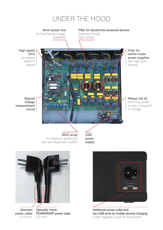

 for maximum protection with self diagnostic system

power supply



Additional power outlet and two USB ports for mobile devices charging under magnetic cover on front panel



Standart power cable 0.75 mm2

Specailly made POWERGRIP power cable 3.3 mm2